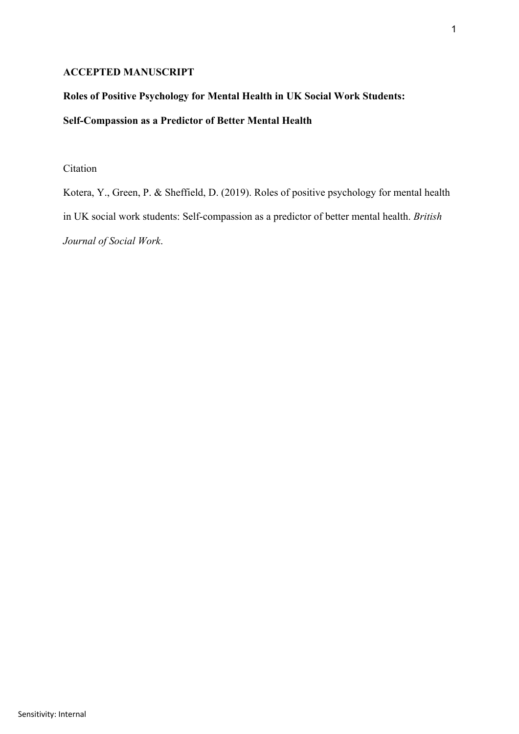# **ACCEPTED MANUSCRIPT**

# **Roles of Positive Psychology for Mental Health in UK Social Work Students:**

# **Self-Compassion as a Predictor of Better Mental Health**

# Citation

Kotera, Y., Green, P. & Sheffield, D. (2019). Roles of positive psychology for mental health in UK social work students: Self-compassion as a predictor of better mental health. *British Journal of Social Work*.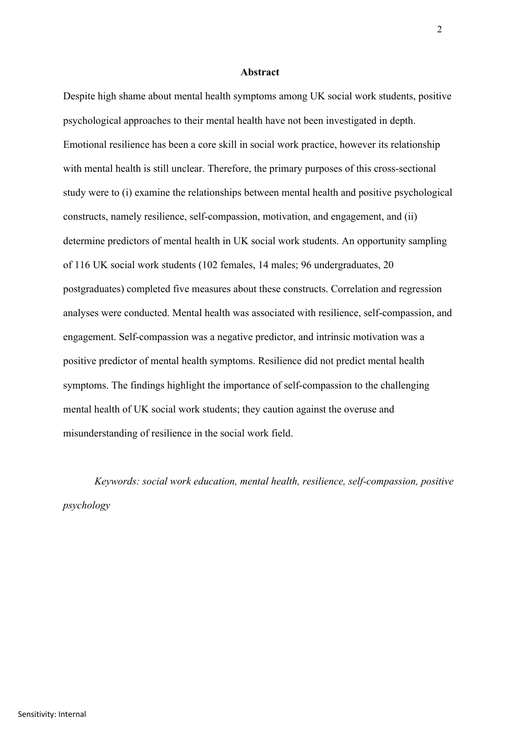## **Abstract**

Despite high shame about mental health symptoms among UK social work students, positive psychological approaches to their mental health have not been investigated in depth. Emotional resilience has been a core skill in social work practice, however its relationship with mental health is still unclear. Therefore, the primary purposes of this cross-sectional study were to (i) examine the relationships between mental health and positive psychological constructs, namely resilience, self-compassion, motivation, and engagement, and (ii) determine predictors of mental health in UK social work students. An opportunity sampling of 116 UK social work students (102 females, 14 males; 96 undergraduates, 20 postgraduates) completed five measures about these constructs. Correlation and regression analyses were conducted. Mental health was associated with resilience, self-compassion, and engagement. Self-compassion was a negative predictor, and intrinsic motivation was a positive predictor of mental health symptoms. Resilience did not predict mental health symptoms. The findings highlight the importance of self-compassion to the challenging mental health of UK social work students; they caution against the overuse and misunderstanding of resilience in the social work field.

*Keywords: social work education, mental health, resilience, self-compassion, positive psychology*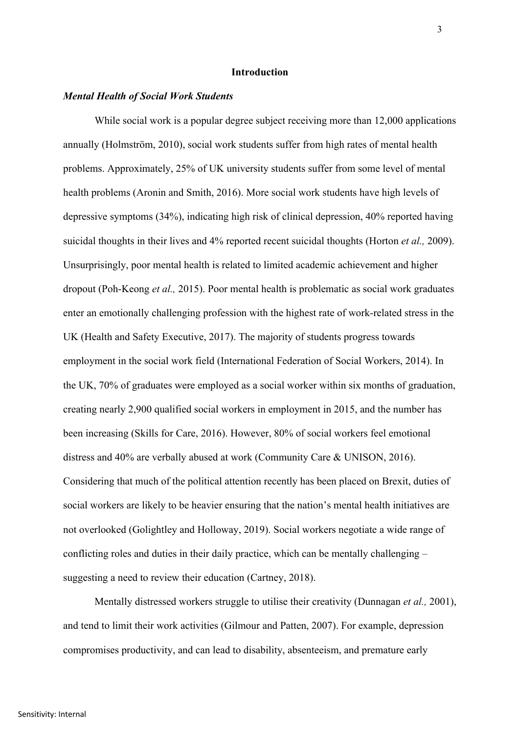## **Introduction**

### *Mental Health of Social Work Students*

While social work is a popular degree subject receiving more than 12,000 applications annually (Holmström, 2010), social work students suffer from high rates of mental health problems. Approximately, 25% of UK university students suffer from some level of mental health problems (Aronin and Smith, 2016). More social work students have high levels of depressive symptoms (34%), indicating high risk of clinical depression, 40% reported having suicidal thoughts in their lives and 4% reported recent suicidal thoughts (Horton *et al.,* 2009). Unsurprisingly, poor mental health is related to limited academic achievement and higher dropout (Poh-Keong *et al.,* 2015). Poor mental health is problematic as social work graduates enter an emotionally challenging profession with the highest rate of work-related stress in the UK (Health and Safety Executive, 2017). The majority of students progress towards employment in the social work field (International Federation of Social Workers, 2014). In the UK, 70% of graduates were employed as a social worker within six months of graduation, creating nearly 2,900 qualified social workers in employment in 2015, and the number has been increasing (Skills for Care, 2016). However, 80% of social workers feel emotional distress and 40% are verbally abused at work (Community Care & UNISON, 2016). Considering that much of the political attention recently has been placed on Brexit, duties of social workers are likely to be heavier ensuring that the nation's mental health initiatives are not overlooked (Golightley and Holloway, 2019). Social workers negotiate a wide range of conflicting roles and duties in their daily practice, which can be mentally challenging – suggesting a need to review their education (Cartney, 2018).

Mentally distressed workers struggle to utilise their creativity (Dunnagan *et al.,* 2001), and tend to limit their work activities (Gilmour and Patten, 2007). For example, depression compromises productivity, and can lead to disability, absenteeism, and premature early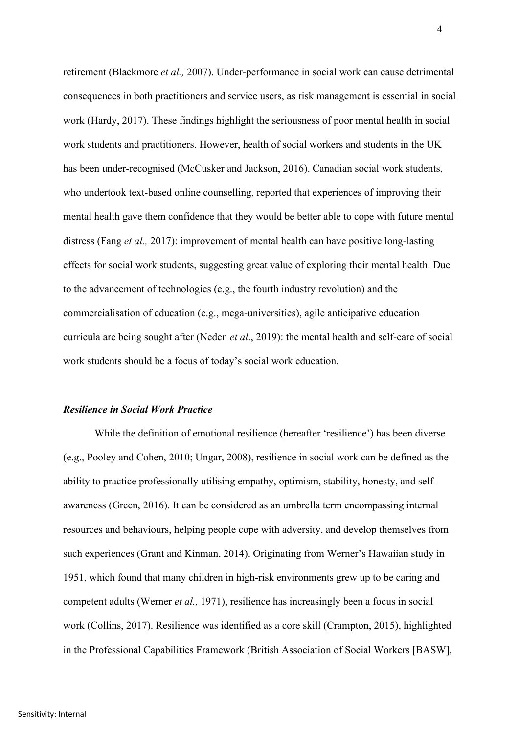retirement (Blackmore *et al.,* 2007). Under-performance in social work can cause detrimental consequences in both practitioners and service users, as risk management is essential in social work (Hardy, 2017). These findings highlight the seriousness of poor mental health in social work students and practitioners. However, health of social workers and students in the UK has been under-recognised (McCusker and Jackson, 2016). Canadian social work students, who undertook text-based online counselling, reported that experiences of improving their mental health gave them confidence that they would be better able to cope with future mental distress (Fang *et al.,* 2017): improvement of mental health can have positive long-lasting effects for social work students, suggesting great value of exploring their mental health. Due to the advancement of technologies (e.g., the fourth industry revolution) and the commercialisation of education (e.g., mega-universities), agile anticipative education curricula are being sought after (Neden *et al*., 2019): the mental health and self-care of social work students should be a focus of today's social work education.

## *Resilience in Social Work Practice*

While the definition of emotional resilience (hereafter 'resilience') has been diverse (e.g., Pooley and Cohen, 2010; Ungar, 2008), resilience in social work can be defined as the ability to practice professionally utilising empathy, optimism, stability, honesty, and selfawareness (Green, 2016). It can be considered as an umbrella term encompassing internal resources and behaviours, helping people cope with adversity, and develop themselves from such experiences (Grant and Kinman, 2014). Originating from Werner's Hawaiian study in 1951, which found that many children in high-risk environments grew up to be caring and competent adults (Werner *et al.,* 1971), resilience has increasingly been a focus in social work (Collins, 2017). Resilience was identified as a core skill (Crampton, 2015), highlighted in the Professional Capabilities Framework (British Association of Social Workers [BASW],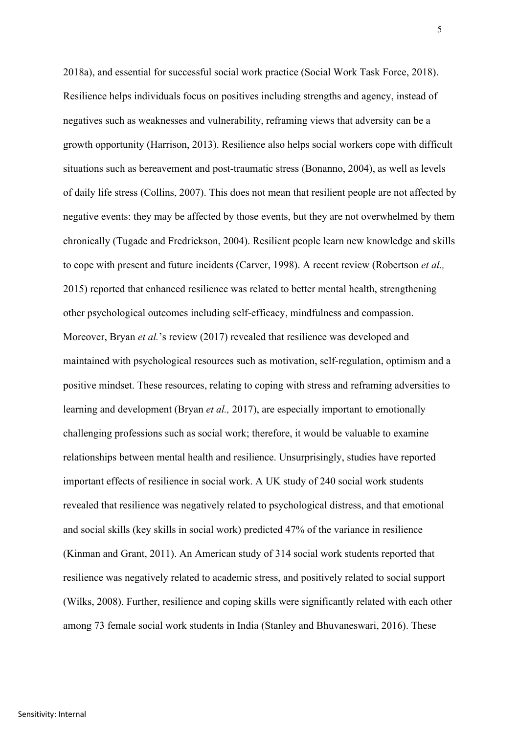2018a), and essential for successful social work practice (Social Work Task Force, 2018). Resilience helps individuals focus on positives including strengths and agency, instead of negatives such as weaknesses and vulnerability, reframing views that adversity can be a growth opportunity (Harrison, 2013). Resilience also helps social workers cope with difficult situations such as bereavement and post-traumatic stress (Bonanno, 2004), as well as levels of daily life stress (Collins, 2007). This does not mean that resilient people are not affected by negative events: they may be affected by those events, but they are not overwhelmed by them chronically (Tugade and Fredrickson, 2004). Resilient people learn new knowledge and skills to cope with present and future incidents (Carver, 1998). A recent review (Robertson *et al.,* 2015) reported that enhanced resilience was related to better mental health, strengthening other psychological outcomes including self-efficacy, mindfulness and compassion. Moreover, Bryan *et al.*'s review (2017) revealed that resilience was developed and maintained with psychological resources such as motivation, self-regulation, optimism and a positive mindset. These resources, relating to coping with stress and reframing adversities to learning and development (Bryan *et al.,* 2017), are especially important to emotionally challenging professions such as social work; therefore, it would be valuable to examine relationships between mental health and resilience. Unsurprisingly, studies have reported important effects of resilience in social work. A UK study of 240 social work students revealed that resilience was negatively related to psychological distress, and that emotional and social skills (key skills in social work) predicted 47% of the variance in resilience (Kinman and Grant, 2011). An American study of 314 social work students reported that resilience was negatively related to academic stress, and positively related to social support (Wilks, 2008). Further, resilience and coping skills were significantly related with each other among 73 female social work students in India (Stanley and Bhuvaneswari, 2016). These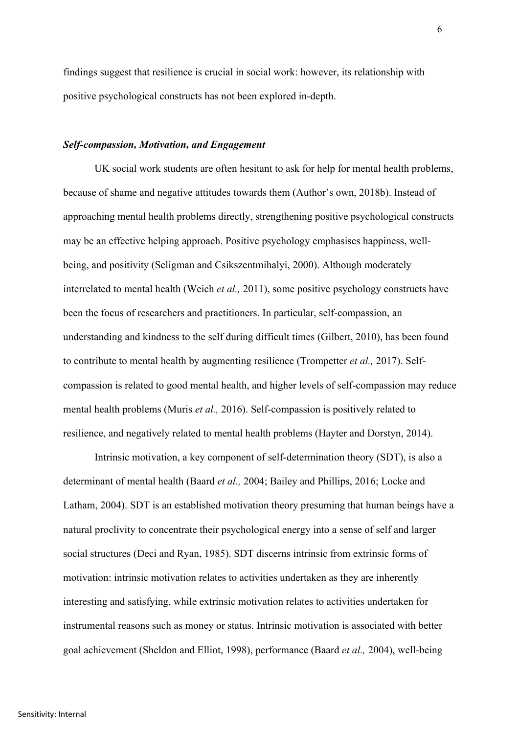findings suggest that resilience is crucial in social work: however, its relationship with positive psychological constructs has not been explored in-depth.

#### *Self-compassion, Motivation, and Engagement*

UK social work students are often hesitant to ask for help for mental health problems, because of shame and negative attitudes towards them (Author's own, 2018b). Instead of approaching mental health problems directly, strengthening positive psychological constructs may be an effective helping approach. Positive psychology emphasises happiness, wellbeing, and positivity (Seligman and Csikszentmihalyi, 2000). Although moderately interrelated to mental health (Weich *et al.,* 2011), some positive psychology constructs have been the focus of researchers and practitioners. In particular, self-compassion, an understanding and kindness to the self during difficult times (Gilbert, 2010), has been found to contribute to mental health by augmenting resilience (Trompetter *et al.,* 2017). Selfcompassion is related to good mental health, and higher levels of self-compassion may reduce mental health problems (Muris *et al.,* 2016). Self-compassion is positively related to resilience, and negatively related to mental health problems (Hayter and Dorstyn, 2014).

Intrinsic motivation, a key component of self-determination theory (SDT), is also a determinant of mental health (Baard *et al.,* 2004; Bailey and Phillips, 2016; Locke and Latham, 2004). SDT is an established motivation theory presuming that human beings have a natural proclivity to concentrate their psychological energy into a sense of self and larger social structures (Deci and Ryan, 1985). SDT discerns intrinsic from extrinsic forms of motivation: intrinsic motivation relates to activities undertaken as they are inherently interesting and satisfying, while extrinsic motivation relates to activities undertaken for instrumental reasons such as money or status. Intrinsic motivation is associated with better goal achievement (Sheldon and Elliot, 1998), performance (Baard *et al.,* 2004), well-being

6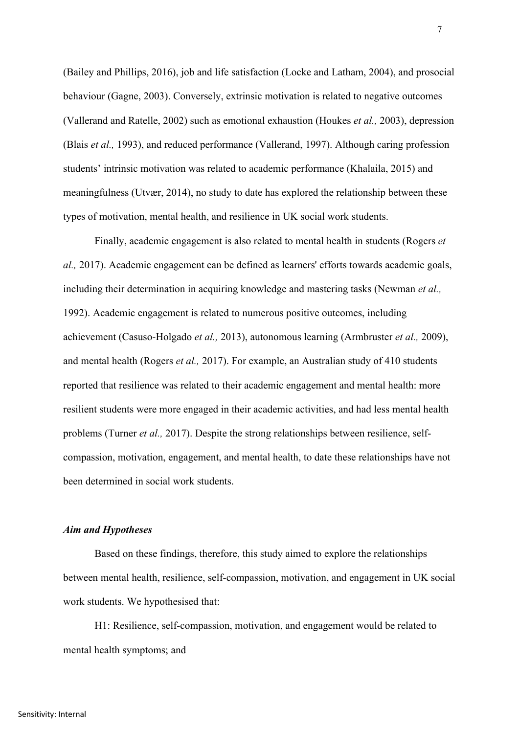(Bailey and Phillips, 2016), job and life satisfaction (Locke and Latham, 2004), and prosocial behaviour (Gagne, 2003). Conversely, extrinsic motivation is related to negative outcomes (Vallerand and Ratelle, 2002) such as emotional exhaustion (Houkes *et al.,* 2003), depression (Blais *et al.,* 1993), and reduced performance (Vallerand, 1997). Although caring profession students' intrinsic motivation was related to academic performance (Khalaila, 2015) and meaningfulness (Utvær, 2014), no study to date has explored the relationship between these types of motivation, mental health, and resilience in UK social work students.

Finally, academic engagement is also related to mental health in students (Rogers *et al.,* 2017). Academic engagement can be defined as learners' efforts towards academic goals, including their determination in acquiring knowledge and mastering tasks (Newman *et al.,* 1992). Academic engagement is related to numerous positive outcomes, including achievement (Casuso-Holgado *et al.,* 2013), autonomous learning (Armbruster *et al.,* 2009), and mental health (Rogers *et al.,* 2017). For example, an Australian study of 410 students reported that resilience was related to their academic engagement and mental health: more resilient students were more engaged in their academic activities, and had less mental health problems (Turner *et al.,* 2017). Despite the strong relationships between resilience, selfcompassion, motivation, engagement, and mental health, to date these relationships have not been determined in social work students.

### *Aim and Hypotheses*

Based on these findings, therefore, this study aimed to explore the relationships between mental health, resilience, self-compassion, motivation, and engagement in UK social work students. We hypothesised that:

H1: Resilience, self-compassion, motivation, and engagement would be related to mental health symptoms; and

7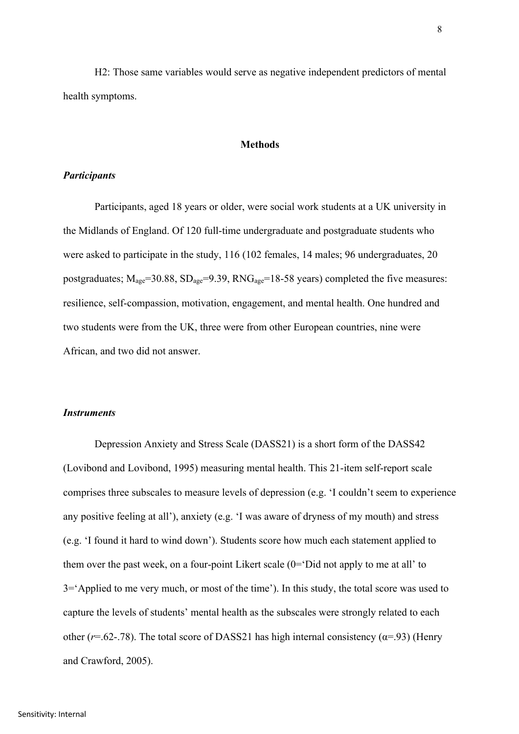H2: Those same variables would serve as negative independent predictors of mental health symptoms.

### **Methods**

## *Participants*

Participants, aged 18 years or older, were social work students at a UK university in the Midlands of England. Of 120 full-time undergraduate and postgraduate students who were asked to participate in the study, 116 (102 females, 14 males; 96 undergraduates, 20 postgraduates;  $M_{\text{age}}$ =30.88,  $SD_{\text{age}}$ =9.39,  $RNG_{\text{age}}$ =18-58 years) completed the five measures: resilience, self-compassion, motivation, engagement, and mental health. One hundred and two students were from the UK, three were from other European countries, nine were African, and two did not answer.

#### *Instruments*

Depression Anxiety and Stress Scale (DASS21) is a short form of the DASS42 (Lovibond and Lovibond, 1995) measuring mental health. This 21-item self-report scale comprises three subscales to measure levels of depression (e.g. 'I couldn't seem to experience any positive feeling at all'), anxiety (e.g. 'I was aware of dryness of my mouth) and stress (e.g. 'I found it hard to wind down'). Students score how much each statement applied to them over the past week, on a four-point Likert scale  $(0=$  Did not apply to me at all' to 3='Applied to me very much, or most of the time'). In this study, the total score was used to capture the levels of students' mental health as the subscales were strongly related to each other ( $r=0.62$ -.78). The total score of DASS21 has high internal consistency ( $\alpha$ =.93) (Henry and Crawford, 2005).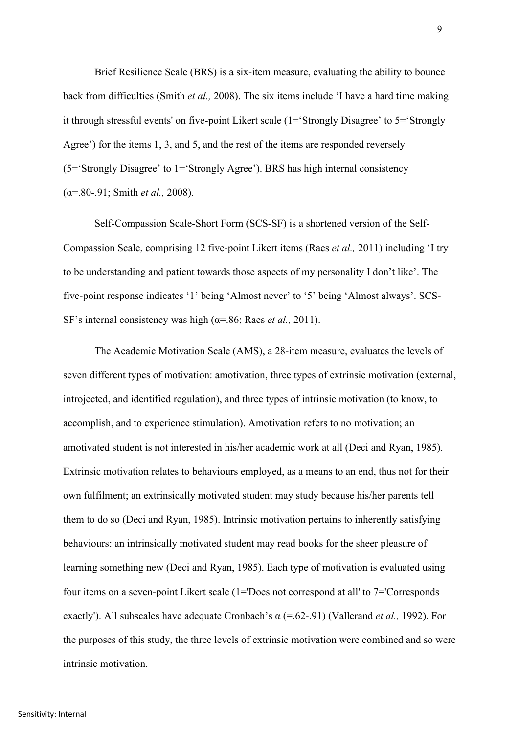Brief Resilience Scale (BRS) is a six-item measure, evaluating the ability to bounce back from difficulties (Smith *et al.,* 2008). The six items include 'I have a hard time making it through stressful events' on five-point Likert scale (1='Strongly Disagree' to 5='Strongly Agree') for the items 1, 3, and 5, and the rest of the items are responded reversely (5='Strongly Disagree' to 1='Strongly Agree'). BRS has high internal consistency (α=.80-.91; Smith *et al.,* 2008).

Self-Compassion Scale-Short Form (SCS-SF) is a shortened version of the Self-Compassion Scale, comprising 12 five-point Likert items (Raes *et al.,* 2011) including 'I try to be understanding and patient towards those aspects of my personality I don't like'. The five-point response indicates '1' being 'Almost never' to '5' being 'Almost always'. SCS-SF's internal consistency was high (α=.86; Raes *et al.,* 2011).

The Academic Motivation Scale (AMS), a 28-item measure, evaluates the levels of seven different types of motivation: amotivation, three types of extrinsic motivation (external, introjected, and identified regulation), and three types of intrinsic motivation (to know, to accomplish, and to experience stimulation). Amotivation refers to no motivation; an amotivated student is not interested in his/her academic work at all (Deci and Ryan, 1985). Extrinsic motivation relates to behaviours employed, as a means to an end, thus not for their own fulfilment; an extrinsically motivated student may study because his/her parents tell them to do so (Deci and Ryan, 1985). Intrinsic motivation pertains to inherently satisfying behaviours: an intrinsically motivated student may read books for the sheer pleasure of learning something new (Deci and Ryan, 1985). Each type of motivation is evaluated using four items on a seven-point Likert scale (1='Does not correspond at all' to 7='Corresponds exactly'). All subscales have adequate Cronbach's α (=.62-.91) (Vallerand *et al.,* 1992). For the purposes of this study, the three levels of extrinsic motivation were combined and so were intrinsic motivation.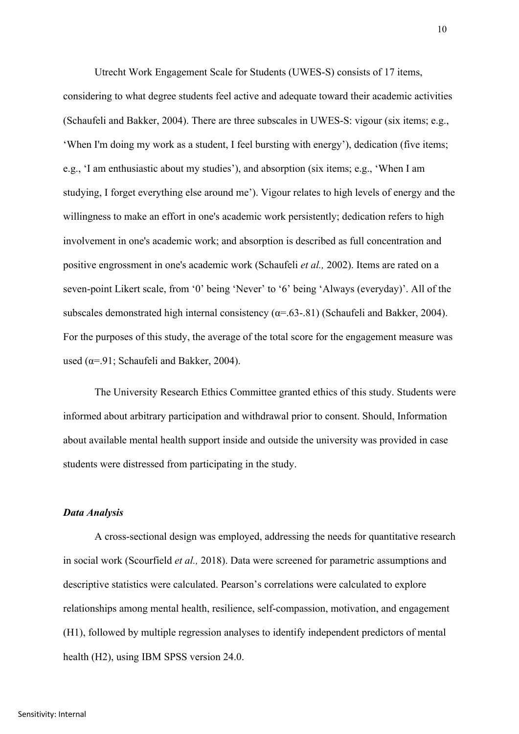Utrecht Work Engagement Scale for Students (UWES-S) consists of 17 items, considering to what degree students feel active and adequate toward their academic activities (Schaufeli and Bakker, 2004). There are three subscales in UWES-S: vigour (six items; e.g., 'When I'm doing my work as a student, I feel bursting with energy'), dedication (five items; e.g., 'I am enthusiastic about my studies'), and absorption (six items; e.g., 'When I am studying, I forget everything else around me'). Vigour relates to high levels of energy and the willingness to make an effort in one's academic work persistently; dedication refers to high involvement in one's academic work; and absorption is described as full concentration and positive engrossment in one's academic work (Schaufeli *et al.,* 2002). Items are rated on a seven-point Likert scale, from '0' being 'Never' to '6' being 'Always (everyday)'. All of the subscales demonstrated high internal consistency ( $\alpha$ =.63-.81) (Schaufeli and Bakker, 2004). For the purposes of this study, the average of the total score for the engagement measure was used ( $\alpha$ =.91; Schaufeli and Bakker, 2004).

The University Research Ethics Committee granted ethics of this study. Students were informed about arbitrary participation and withdrawal prior to consent. Should, Information about available mental health support inside and outside the university was provided in case students were distressed from participating in the study.

## *Data Analysis*

A cross-sectional design was employed, addressing the needs for quantitative research in social work (Scourfield *et al.,* 2018). Data were screened for parametric assumptions and descriptive statistics were calculated. Pearson's correlations were calculated to explore relationships among mental health, resilience, self-compassion, motivation, and engagement (H1), followed by multiple regression analyses to identify independent predictors of mental health (H2), using IBM SPSS version 24.0.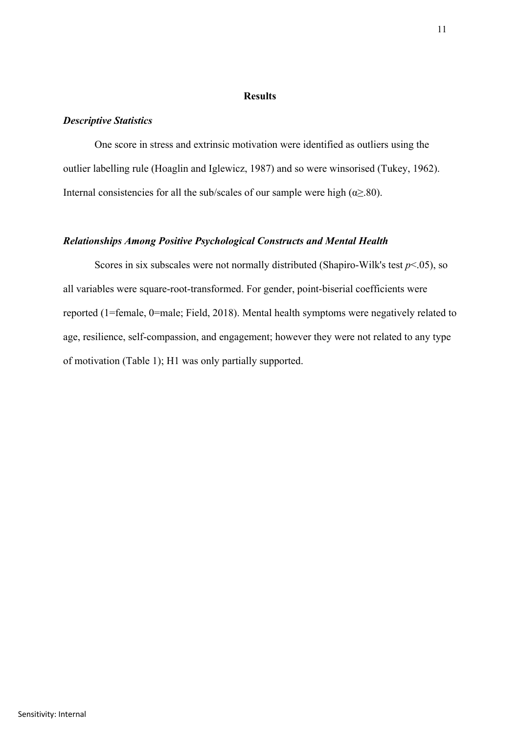## **Results**

## *Descriptive Statistics*

One score in stress and extrinsic motivation were identified as outliers using the outlier labelling rule (Hoaglin and Iglewicz, 1987) and so were winsorised (Tukey, 1962). Internal consistencies for all the sub/scales of our sample were high ( $\alpha \geq 80$ ).

## *Relationships Among Positive Psychological Constructs and Mental Health*

Scores in six subscales were not normally distributed (Shapiro-Wilk's test  $p<0.05$ ), so all variables were square-root-transformed. For gender, point-biserial coefficients were reported (1=female, 0=male; Field, 2018). Mental health symptoms were negatively related to age, resilience, self-compassion, and engagement; however they were not related to any type of motivation (Table 1); H1 was only partially supported.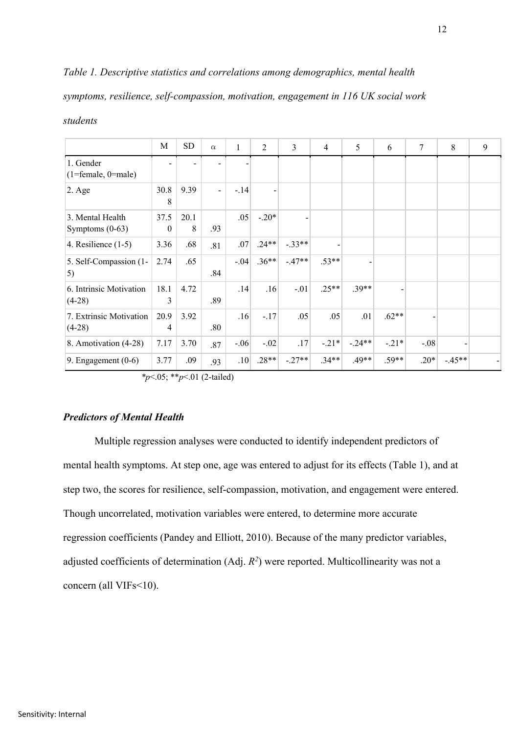# *Table 1. Descriptive statistics and correlations among demographics, mental health*

*symptoms, resilience, self-compassion, motivation, engagement in 116 UK social work* 

|                                       | M                | SD        | $\alpha$       | 1      | 2       | 3        | $\overline{4}$ | 5        | 6       | $7\phantom{.0}$ | 8        | 9 |
|---------------------------------------|------------------|-----------|----------------|--------|---------|----------|----------------|----------|---------|-----------------|----------|---|
| 1. Gender<br>$(1 = female, 0 = male)$ |                  |           |                |        |         |          |                |          |         |                 |          |   |
| $2. \text{Age}$                       | 30.8<br>8        | 9.39      | $\overline{a}$ | $-.14$ |         |          |                |          |         |                 |          |   |
| 3. Mental Health<br>Symptoms $(0-63)$ | 37.5<br>$\theta$ | 20.1<br>8 | .93            | .05    | $-.20*$ |          |                |          |         |                 |          |   |
| 4. Resilience $(1-5)$                 | 3.36             | .68       | .81            | .07    | $.24**$ | $-.33**$ |                |          |         |                 |          |   |
| 5. Self-Compassion (1-<br>5)          | 2.74             | .65       | .84            | $-.04$ | $.36**$ | $-.47**$ | $.53**$        |          |         |                 |          |   |
| 6. Intrinsic Motivation<br>$(4-28)$   | 18.1<br>3        | 4.72      | .89            | .14    | .16     | $-.01$   | $.25**$        | $.39**$  |         |                 |          |   |
| 7. Extrinsic Motivation<br>$(4-28)$   | 20.9<br>4        | 3.92      | .80            | .16    | $-.17$  | .05      | .05            | .01      | $.62**$ |                 |          |   |
| 8. Amotivation (4-28)                 | 7.17             | 3.70      | .87            | $-.06$ | $-.02$  | .17      | $-.21*$        | $-.24**$ | $-.21*$ | $-.08$          |          |   |
| 9. Engagement $(0-6)$                 | 3.77             | .09       | .93            | .10    | $.28**$ | $-.27**$ | $.34**$        | $.49**$  | $.59**$ | $.20*$          | $-.45**$ |   |

#### *students*

*\*p*<.05; \*\**p*<.01 (2-tailed)

## *Predictors of Mental Health*

Multiple regression analyses were conducted to identify independent predictors of mental health symptoms. At step one, age was entered to adjust for its effects (Table 1), and at step two, the scores for resilience, self-compassion, motivation, and engagement were entered. Though uncorrelated, motivation variables were entered, to determine more accurate regression coefficients (Pandey and Elliott, 2010). Because of the many predictor variables, adjusted coefficients of determination  $(Adj. R<sup>2</sup>)$  were reported. Multicollinearity was not a concern (all VIFs<10).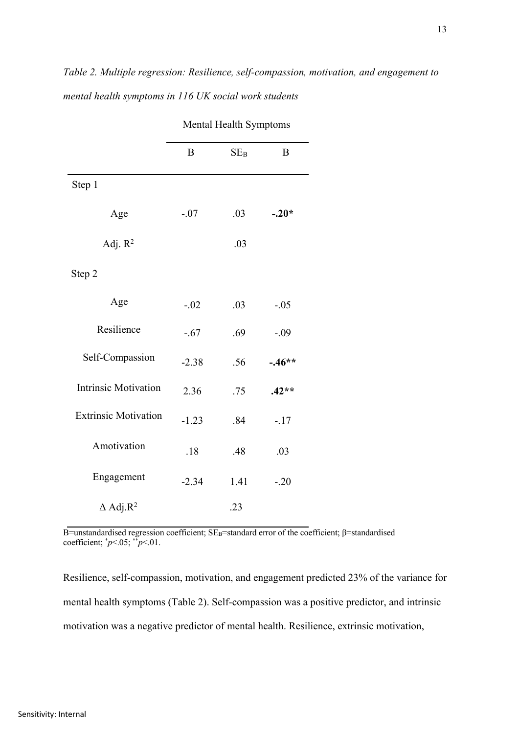|                             | B       | $SE_B$ | B        |  |  |
|-----------------------------|---------|--------|----------|--|--|
| Step 1                      |         |        |          |  |  |
| Age                         | $-.07$  | .03    | $-.20*$  |  |  |
| Adj. $R^2$                  |         | .03    |          |  |  |
| Step 2                      |         |        |          |  |  |
| Age                         | $-.02$  | .03    | $-.05$   |  |  |
| Resilience                  | $-.67$  | .69    | $-.09$   |  |  |
| Self-Compassion             | $-2.38$ | .56    | $-.46**$ |  |  |
| <b>Intrinsic Motivation</b> | 2.36    | .75    | $.42**$  |  |  |
| <b>Extrinsic Motivation</b> | $-1.23$ | .84    | $-.17$   |  |  |
| Amotivation                 | .18     | .48    | .03      |  |  |
| Engagement                  | $-2.34$ | 1.41   | $-.20$   |  |  |
| $\Delta$ Adj.R <sup>2</sup> |         | .23    |          |  |  |

Mental Health Symptoms

B=unstandardised regression coefficient; SE<sub>B</sub>=standard error of the coefficient; β=standardised coefficient;  $p<.05$ ;  $p<.01$ .

Resilience, self-compassion, motivation, and engagement predicted 23% of the variance for mental health symptoms (Table 2). Self-compassion was a positive predictor, and intrinsic motivation was a negative predictor of mental health. Resilience, extrinsic motivation,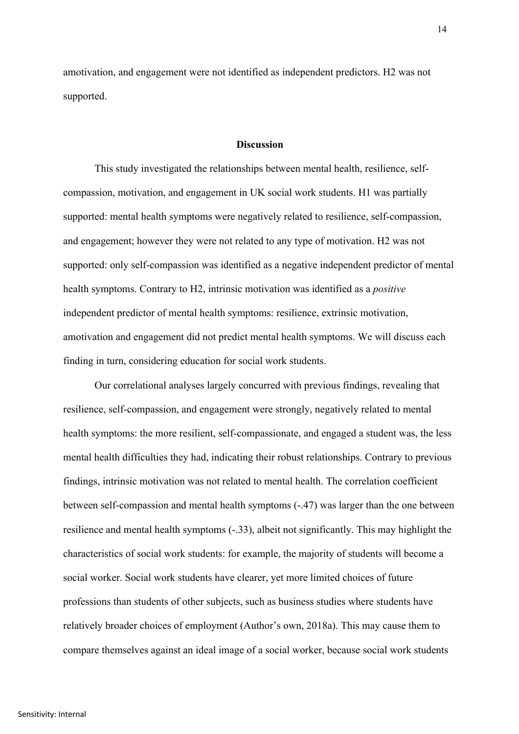amotivation, and engagement were not identified as independent predictors. H2 was not supported.

#### **Discussion**

This study investigated the relationships between mental health, resilience, selfcompassion, motivation, and engagement in UK social work students. H1 was partially supported: mental health symptoms were negatively related to resilience, self-compassion, and engagement; however they were not related to any type of motivation. H2 was not supported: only self-compassion was identified as a negative independent predictor of mental health symptoms. Contrary to H2, intrinsic motivation was identified as a *positive* independent predictor of mental health symptoms: resilience, extrinsic motivation, amotivation and engagement did not predict mental health symptoms. We will discuss each finding in turn, considering education for social work students.

Our correlational analyses largely concurred with previous findings, revealing that resilience, self-compassion, and engagement were strongly, negatively related to mental health symptoms: the more resilient, self-compassionate, and engaged a student was, the less mental health difficulties they had, indicating their robust relationships. Contrary to previous findings, intrinsic motivation was not related to mental health. The correlation coefficient between self-compassion and mental health symptoms (-.47) was larger than the one between resilience and mental health symptoms (-.33), albeit not significantly. This may highlight the characteristics of social work students: for example, the majority of students will become a social worker. Social work students have clearer, yet more limited choices of future professions than students of other subjects, such as business studies where students have relatively broader choices of employment (Author's own, 2018a). This may cause them to compare themselves against an ideal image of a social worker, because social work students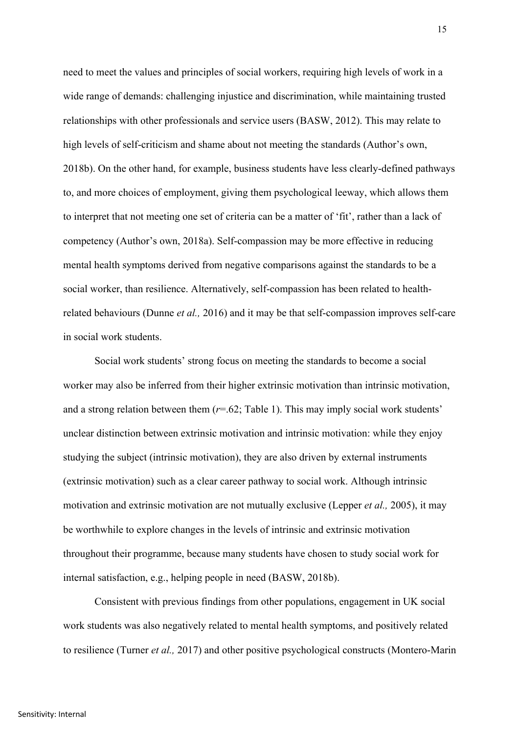need to meet the values and principles of social workers, requiring high levels of work in a wide range of demands: challenging injustice and discrimination, while maintaining trusted relationships with other professionals and service users (BASW, 2012). This may relate to high levels of self-criticism and shame about not meeting the standards (Author's own, 2018b). On the other hand, for example, business students have less clearly-defined pathways to, and more choices of employment, giving them psychological leeway, which allows them to interpret that not meeting one set of criteria can be a matter of 'fit', rather than a lack of competency (Author's own, 2018a). Self-compassion may be more effective in reducing mental health symptoms derived from negative comparisons against the standards to be a social worker, than resilience. Alternatively, self-compassion has been related to healthrelated behaviours (Dunne *et al.,* 2016) and it may be that self-compassion improves self-care in social work students.

Social work students' strong focus on meeting the standards to become a social worker may also be inferred from their higher extrinsic motivation than intrinsic motivation, and a strong relation between them (*r*=.62; Table 1). This may imply social work students' unclear distinction between extrinsic motivation and intrinsic motivation: while they enjoy studying the subject (intrinsic motivation), they are also driven by external instruments (extrinsic motivation) such as a clear career pathway to social work. Although intrinsic motivation and extrinsic motivation are not mutually exclusive (Lepper *et al.,* 2005), it may be worthwhile to explore changes in the levels of intrinsic and extrinsic motivation throughout their programme, because many students have chosen to study social work for internal satisfaction, e.g., helping people in need (BASW, 2018b).

Consistent with previous findings from other populations, engagement in UK social work students was also negatively related to mental health symptoms, and positively related to resilience (Turner *et al.,* 2017) and other positive psychological constructs (Montero-Marin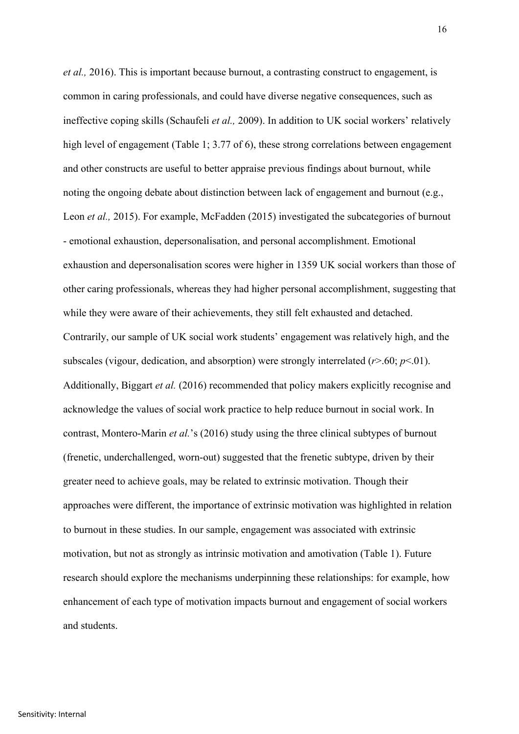*et al.,* 2016). This is important because burnout, a contrasting construct to engagement, is common in caring professionals, and could have diverse negative consequences, such as ineffective coping skills (Schaufeli *et al.,* 2009). In addition to UK social workers' relatively high level of engagement (Table 1; 3.77 of 6), these strong correlations between engagement and other constructs are useful to better appraise previous findings about burnout, while noting the ongoing debate about distinction between lack of engagement and burnout (e.g., Leon *et al.*, 2015). For example, McFadden (2015) investigated the subcategories of burnout - emotional exhaustion, depersonalisation, and personal accomplishment. Emotional exhaustion and depersonalisation scores were higher in 1359 UK social workers than those of other caring professionals, whereas they had higher personal accomplishment, suggesting that while they were aware of their achievements, they still felt exhausted and detached. Contrarily, our sample of UK social work students' engagement was relatively high, and the subscales (vigour, dedication, and absorption) were strongly interrelated  $(r>0.60; p<0.1)$ . Additionally, Biggart *et al.* (2016) recommended that policy makers explicitly recognise and acknowledge the values of social work practice to help reduce burnout in social work. In contrast, Montero-Marin *et al.*'s (2016) study using the three clinical subtypes of burnout (frenetic, underchallenged, worn-out) suggested that the frenetic subtype, driven by their greater need to achieve goals, may be related to extrinsic motivation. Though their approaches were different, the importance of extrinsic motivation was highlighted in relation to burnout in these studies. In our sample, engagement was associated with extrinsic motivation, but not as strongly as intrinsic motivation and amotivation (Table 1). Future research should explore the mechanisms underpinning these relationships: for example, how enhancement of each type of motivation impacts burnout and engagement of social workers and students.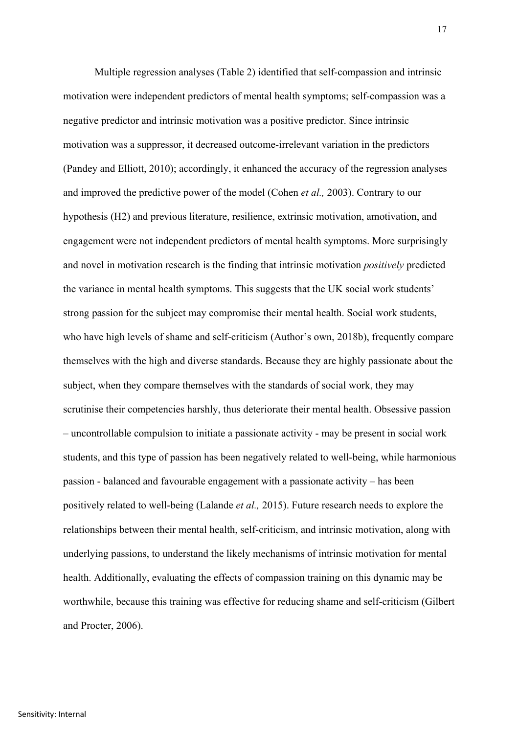Multiple regression analyses (Table 2) identified that self-compassion and intrinsic motivation were independent predictors of mental health symptoms; self-compassion was a negative predictor and intrinsic motivation was a positive predictor. Since intrinsic motivation was a suppressor, it decreased outcome-irrelevant variation in the predictors (Pandey and Elliott, 2010); accordingly, it enhanced the accuracy of the regression analyses and improved the predictive power of the model (Cohen *et al.,* 2003). Contrary to our hypothesis (H2) and previous literature, resilience, extrinsic motivation, amotivation, and engagement were not independent predictors of mental health symptoms. More surprisingly and novel in motivation research is the finding that intrinsic motivation *positively* predicted the variance in mental health symptoms. This suggests that the UK social work students' strong passion for the subject may compromise their mental health. Social work students, who have high levels of shame and self-criticism (Author's own, 2018b), frequently compare themselves with the high and diverse standards. Because they are highly passionate about the subject, when they compare themselves with the standards of social work, they may scrutinise their competencies harshly, thus deteriorate their mental health. Obsessive passion – uncontrollable compulsion to initiate a passionate activity - may be present in social work students, and this type of passion has been negatively related to well-being, while harmonious passion - balanced and favourable engagement with a passionate activity – has been positively related to well-being (Lalande *et al.,* 2015). Future research needs to explore the relationships between their mental health, self-criticism, and intrinsic motivation, along with underlying passions, to understand the likely mechanisms of intrinsic motivation for mental health. Additionally, evaluating the effects of compassion training on this dynamic may be worthwhile, because this training was effective for reducing shame and self-criticism (Gilbert and Procter, 2006).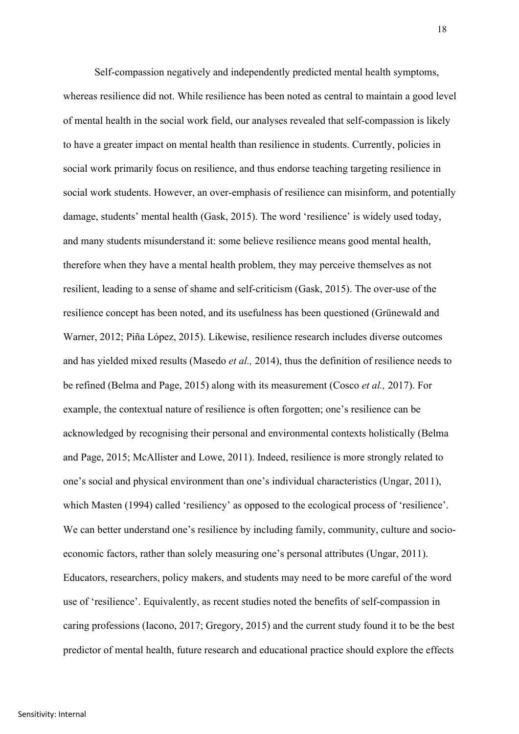Self-compassion negatively and independently predicted mental health symptoms, whereas resilience did not. While resilience has been noted as central to maintain a good level of mental health in the social work field, our analyses revealed that self-compassion is likely to have a greater impact on mental health than resilience in students. Currently, policies in social work primarily focus on resilience, and thus endorse teaching targeting resilience in social work students. However, an over-emphasis of resilience can misinform, and potentially damage, students' mental health (Gask, 2015). The word 'resilience' is widely used today, and many students misunderstand it: some believe resilience means good mental health, therefore when they have a mental health problem, they may perceive themselves as not resilient, leading to a sense of shame and self-criticism (Gask, 2015). The over-use of the resilience concept has been noted, and its usefulness has been questioned (Grünewald and Warner, 2012; Piña López, 2015). Likewise, resilience research includes diverse outcomes and has yielded mixed results (Masedo *et al.,* 2014), thus the definition of resilience needs to be refined (Belma and Page, 2015) along with its measurement (Cosco *et al.,* 2017). For example, the contextual nature of resilience is often forgotten; one's resilience can be acknowledged by recognising their personal and environmental contexts holistically (Belma and Page, 2015; McAllister and Lowe, 2011). Indeed, resilience is more strongly related to one's social and physical environment than one's individual characteristics (Ungar, 2011), which Masten (1994) called 'resiliency' as opposed to the ecological process of 'resilience'. We can better understand one's resilience by including family, community, culture and socioeconomic factors, rather than solely measuring one's personal attributes (Ungar, 2011). Educators, researchers, policy makers, and students may need to be more careful of the word use of 'resilience'. Equivalently, as recent studies noted the benefits of self-compassion in caring professions (Iacono, 2017; Gregory, 2015) and the current study found it to be the best predictor of mental health, future research and educational practice should explore the effects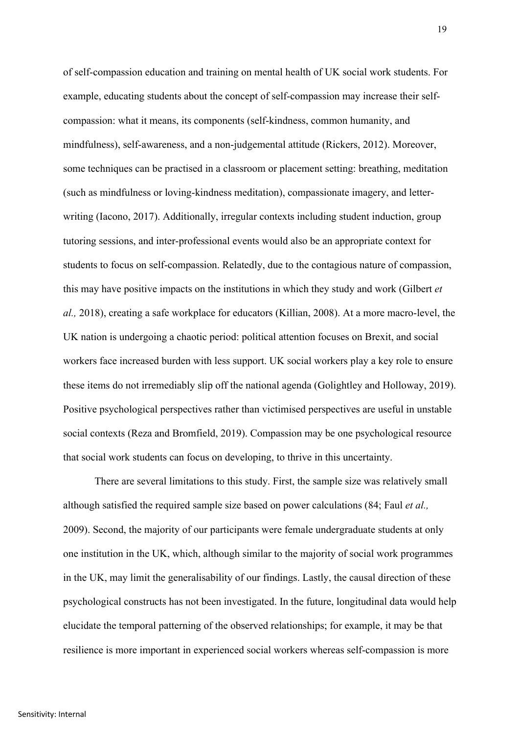of self-compassion education and training on mental health of UK social work students. For example, educating students about the concept of self-compassion may increase their selfcompassion: what it means, its components (self-kindness, common humanity, and mindfulness), self-awareness, and a non-judgemental attitude (Rickers, 2012). Moreover, some techniques can be practised in a classroom or placement setting: breathing, meditation (such as mindfulness or loving-kindness meditation), compassionate imagery, and letterwriting (Iacono, 2017). Additionally, irregular contexts including student induction, group tutoring sessions, and inter-professional events would also be an appropriate context for students to focus on self-compassion. Relatedly, due to the contagious nature of compassion, this may have positive impacts on the institutions in which they study and work (Gilbert *et al.,* 2018), creating a safe workplace for educators (Killian, 2008). At a more macro-level, the UK nation is undergoing a chaotic period: political attention focuses on Brexit, and social workers face increased burden with less support. UK social workers play a key role to ensure these items do not irremediably slip off the national agenda (Golightley and Holloway, 2019). Positive psychological perspectives rather than victimised perspectives are useful in unstable social contexts (Reza and Bromfield, 2019). Compassion may be one psychological resource that social work students can focus on developing, to thrive in this uncertainty.

There are several limitations to this study. First, the sample size was relatively small although satisfied the required sample size based on power calculations (84; Faul *et al.,* 2009). Second, the majority of our participants were female undergraduate students at only one institution in the UK, which, although similar to the majority of social work programmes in the UK, may limit the generalisability of our findings. Lastly, the causal direction of these psychological constructs has not been investigated. In the future, longitudinal data would help elucidate the temporal patterning of the observed relationships; for example, it may be that resilience is more important in experienced social workers whereas self-compassion is more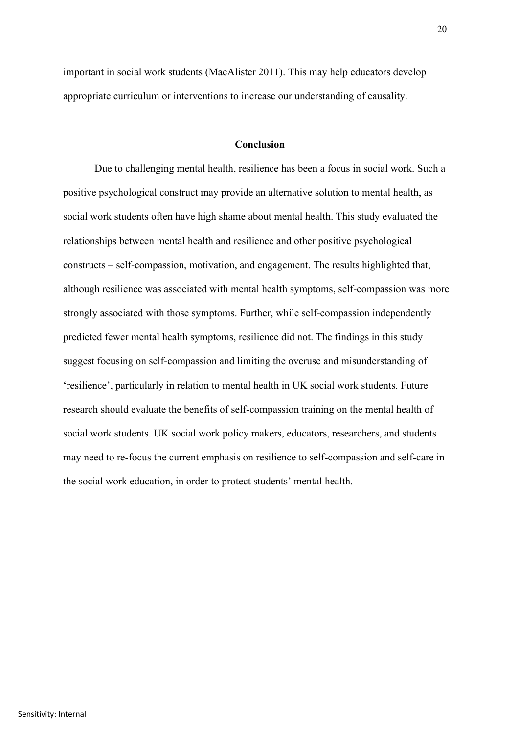important in social work students (MacAlister 2011). This may help educators develop appropriate curriculum or interventions to increase our understanding of causality.

## **Conclusion**

Due to challenging mental health, resilience has been a focus in social work. Such a positive psychological construct may provide an alternative solution to mental health, as social work students often have high shame about mental health. This study evaluated the relationships between mental health and resilience and other positive psychological constructs – self-compassion, motivation, and engagement. The results highlighted that, although resilience was associated with mental health symptoms, self-compassion was more strongly associated with those symptoms. Further, while self-compassion independently predicted fewer mental health symptoms, resilience did not. The findings in this study suggest focusing on self-compassion and limiting the overuse and misunderstanding of 'resilience', particularly in relation to mental health in UK social work students. Future research should evaluate the benefits of self-compassion training on the mental health of social work students. UK social work policy makers, educators, researchers, and students may need to re-focus the current emphasis on resilience to self-compassion and self-care in the social work education, in order to protect students' mental health.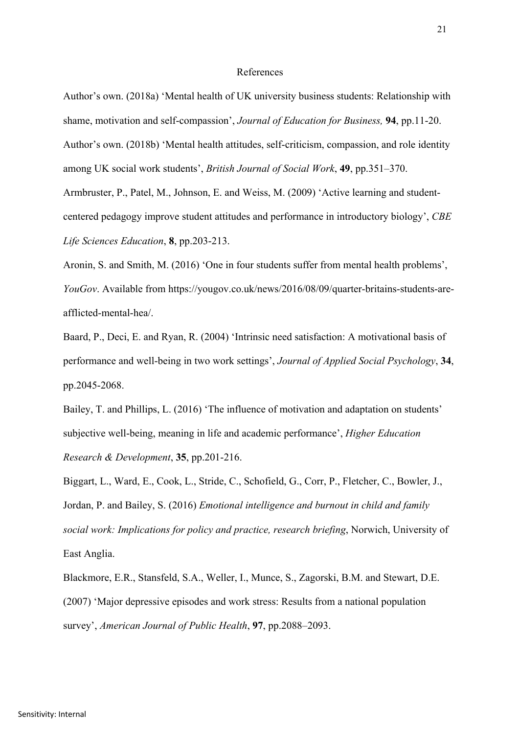#### References

Author's own. (2018a) 'Mental health of UK university business students: Relationship with shame, motivation and self-compassion', *Journal of Education for Business,* **94**, pp.11-20. Author's own. (2018b) 'Mental health attitudes, self-criticism, compassion, and role identity among UK social work students', *British Journal of Social Work*, **49**, pp.351–370. Armbruster, P., Patel, M., Johnson, E. and Weiss, M. (2009) 'Active learning and studentcentered pedagogy improve student attitudes and performance in introductory biology', *CBE* 

*Life Sciences Education*, **8**, pp.203-213.

Aronin, S. and Smith, M. (2016) 'One in four students suffer from mental health problems', *YouGov*. Available from https://yougov.co.uk/news/2016/08/09/quarter-britains-students-areafflicted-mental-hea/.

Baard, P., Deci, E. and Ryan, R. (2004) 'Intrinsic need satisfaction: A motivational basis of performance and well-being in two work settings', *Journal of Applied Social Psychology*, **34**, pp.2045-2068.

Bailey, T. and Phillips, L. (2016) 'The influence of motivation and adaptation on students' subjective well-being, meaning in life and academic performance', *Higher Education Research & Development*, **35**, pp.201-216.

Biggart, L., Ward, E., Cook, L., Stride, C., Schofield, G., Corr, P., Fletcher, C., Bowler, J., Jordan, P. and Bailey, S. (2016) *Emotional intelligence and burnout in child and family social work: Implications for policy and practice, research briefing*, Norwich, University of East Anglia.

Blackmore, E.R., Stansfeld, S.A., Weller, I., Munce, S., Zagorski, B.M. and Stewart, D.E. (2007) 'Major depressive episodes and work stress: Results from a national population survey', *American Journal of Public Health*, **97**, pp.2088–2093.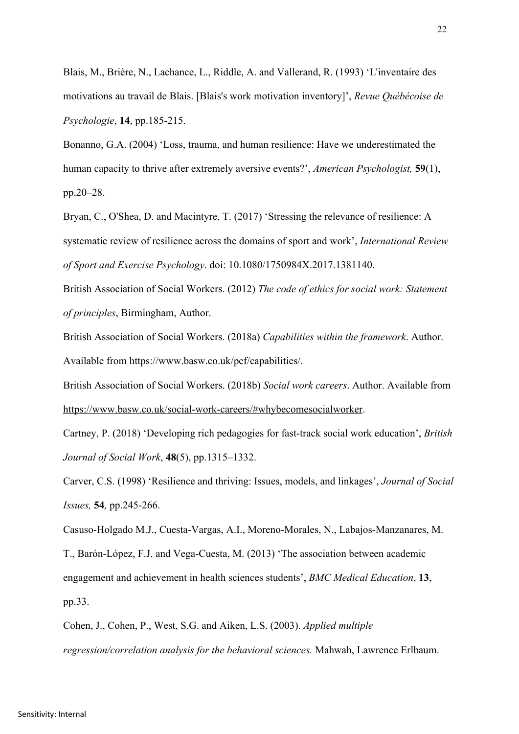Blais, M., Brière, N., Lachance, L., Riddle, A. and Vallerand, R. (1993) 'L'inventaire des motivations au travail de Blais. [Blais's work motivation inventory]', *Revue Québécoise de Psychologie*, **14**, pp.185-215.

Bonanno, G.A. (2004) 'Loss, trauma, and human resilience: Have we underestimated the human capacity to thrive after extremely aversive events?', *American Psychologist,* **59**(1), pp.20–28.

Bryan, C., O'Shea, D. and Macintyre, T. (2017) 'Stressing the relevance of resilience: A systematic review of resilience across the domains of sport and work', *International Review of Sport and Exercise Psychology*. doi: 10.1080/1750984X.2017.1381140.

British Association of Social Workers. (2012) *The code of ethics for social work: Statement of principles*, Birmingham, Author.

British Association of Social Workers. (2018a) *Capabilities within the framework*. Author. Available from https://www.basw.co.uk/pcf/capabilities/.

British Association of Social Workers. (2018b) *Social work careers*. Author. Available from https://www.basw.co.uk/social-work-careers/#whybecomesocialworker.

Cartney, P. (2018) 'Developing rich pedagogies for fast-track social work education', *British Journal of Social Work*, **48**(5), pp.1315–1332.

Carver, C.S. (1998) 'Resilience and thriving: Issues, models, and linkages', *Journal of Social Issues,* **54***,* pp.245-266.

Casuso-Holgado M.J., Cuesta-Vargas, A.I., Moreno-Morales, N., Labajos-Manzanares, M. T., Barón-López, F.J. and Vega-Cuesta, M. (2013) 'The association between academic engagement and achievement in health sciences students', *BMC Medical Education*, **13**, pp.33.

Cohen, J., Cohen, P., West, S.G. and Aiken, L.S. (2003). *Applied multiple regression/correlation analysis for the behavioral sciences.* Mahwah, Lawrence Erlbaum.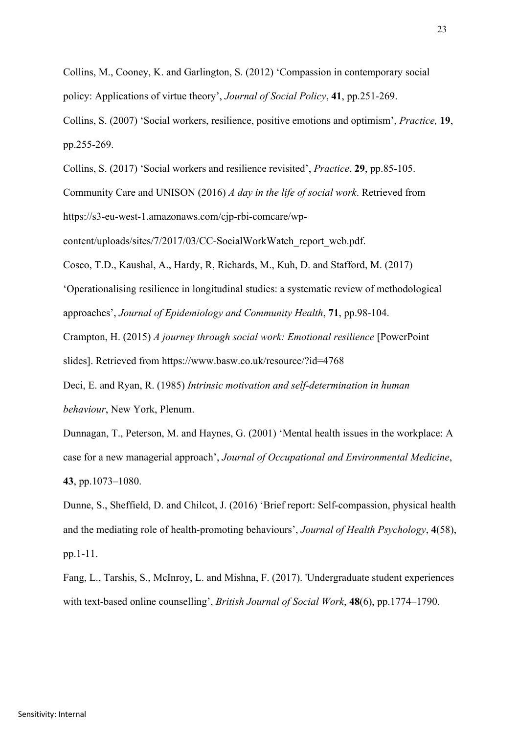Collins, M., Cooney, K. and Garlington, S. (2012) 'Compassion in contemporary social policy: Applications of virtue theory', *Journal of Social Policy*, **41**, pp.251-269.

Collins, S. (2007) 'Social workers, resilience, positive emotions and optimism', *Practice,* **19**, pp.255-269.

Collins, S. (2017) 'Social workers and resilience revisited', *Practice*, **29**, pp.85-105.

Community Care and UNISON (2016) *A day in the life of social work*. Retrieved from https://s3-eu-west-1.amazonaws.com/cjp-rbi-comcare/wp-

content/uploads/sites/7/2017/03/CC-SocialWorkWatch\_report\_web.pdf.

Cosco, T.D., Kaushal, A., Hardy, R, Richards, M., Kuh, D. and Stafford, M. (2017)

'Operationalising resilience in longitudinal studies: a systematic review of methodological approaches', *Journal of Epidemiology and Community Health*, **71**, pp.98-104.

Crampton, H. (2015) *A journey through social work: Emotional resilience* [PowerPoint

slides]. Retrieved from https://www.basw.co.uk/resource/?id=4768

Deci, E. and Ryan, R. (1985) *Intrinsic motivation and self-determination in human behaviour*, New York, Plenum.

Dunnagan, T., Peterson, M. and Haynes, G. (2001) 'Mental health issues in the workplace: A case for a new managerial approach', *Journal of Occupational and Environmental Medicine*, **43**, pp.1073–1080.

Dunne, S., Sheffield, D. and Chilcot, J. (2016) 'Brief report: Self-compassion, physical health and the mediating role of health-promoting behaviours', *Journal of Health Psychology*, **4**(58), pp.1-11.

Fang, L., Tarshis, S., McInroy, L. and Mishna, F. (2017). 'Undergraduate student experiences with text-based online counselling', *British Journal of Social Work*, **48**(6), pp.1774–1790.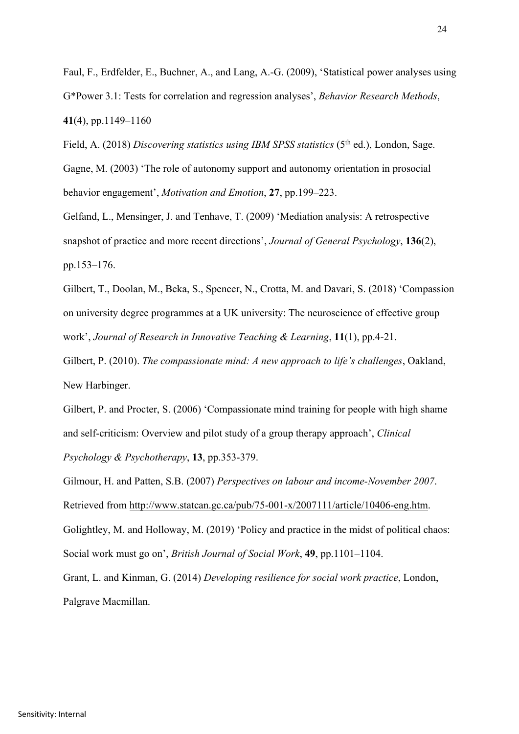Faul, F., Erdfelder, E., Buchner, A., and Lang, A.-G. (2009), 'Statistical power analyses using G\*Power 3.1: Tests for correlation and regression analyses', *Behavior Research Methods*, **41**(4), pp.1149–1160

Field, A. (2018) *Discovering statistics using IBM SPSS statistics* (5<sup>th</sup> ed.), London, Sage. Gagne, M. (2003) 'The role of autonomy support and autonomy orientation in prosocial behavior engagement', *Motivation and Emotion*, **27**, pp.199–223.

Gelfand, L., Mensinger, J. and Tenhave, T. (2009) 'Mediation analysis: A retrospective snapshot of practice and more recent directions', *Journal of General Psychology*, **136**(2), pp.153–176.

Gilbert, T., Doolan, M., Beka, S., Spencer, N., Crotta, M. and Davari, S. (2018) 'Compassion on university degree programmes at a UK university: The neuroscience of effective group work', *Journal of Research in Innovative Teaching & Learning*, **11**(1), pp.4-21.

Gilbert, P. (2010). *The compassionate mind: A new approach to life's challenges*, Oakland, New Harbinger.

Gilbert, P. and Procter, S. (2006) 'Compassionate mind training for people with high shame and self-criticism: Overview and pilot study of a group therapy approach', *Clinical Psychology & Psychotherapy*, **13**, pp.353-379.

Gilmour, H. and Patten, S.B. (2007) *Perspectives on labour and income-November 2007*. Retrieved from http://www.statcan.gc.ca/pub/75-001-x/2007111/article/10406-eng.htm. Golightley, M. and Holloway, M. (2019) 'Policy and practice in the midst of political chaos: Social work must go on', *British Journal of Social Work*, **49**, pp.1101–1104. Grant, L. and Kinman, G. (2014) *Developing resilience for social work practice*, London,

Palgrave Macmillan.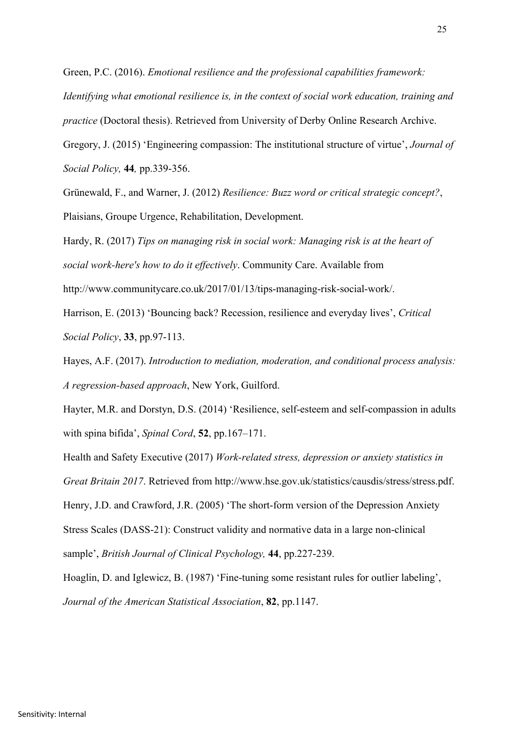Green, P.C. (2016). *Emotional resilience and the professional capabilities framework: Identifying what emotional resilience is, in the context of social work education, training and practice* (Doctoral thesis). Retrieved from University of Derby Online Research Archive. Gregory, J. (2015) 'Engineering compassion: The institutional structure of virtue', *Journal of Social Policy,* **44***,* pp.339-356.

Grünewald, F., and Warner, J. (2012) *Resilience: Buzz word or critical strategic concept?*, Plaisians, Groupe Urgence, Rehabilitation, Development.

Hardy, R. (2017) *Tips on managing risk in social work: Managing risk is at the heart of social work-here's how to do it effectively*. Community Care. Available from

http://www.communitycare.co.uk/2017/01/13/tips-managing-risk-social-work/.

Harrison, E. (2013) 'Bouncing back? Recession, resilience and everyday lives', *Critical Social Policy*, **33**, pp.97-113.

Hayes, A.F. (2017). *Introduction to mediation, moderation, and conditional process analysis: A regression-based approach*, New York, Guilford.

Hayter, M.R. and Dorstyn, D.S. (2014) 'Resilience, self-esteem and self-compassion in adults with spina bifida', *Spinal Cord*, **52**, pp.167–171.

Health and Safety Executive (2017) *Work-related stress, depression or anxiety statistics in Great Britain 2017*. Retrieved from http://www.hse.gov.uk/statistics/causdis/stress/stress.pdf. Henry, J.D. and Crawford, J.R. (2005) 'The short-form version of the Depression Anxiety Stress Scales (DASS-21): Construct validity and normative data in a large non-clinical sample', *British Journal of Clinical Psychology,* **44**, pp.227-239.

Hoaglin, D. and Iglewicz, B. (1987) 'Fine-tuning some resistant rules for outlier labeling', *Journal of the American Statistical Association*, **82**, pp.1147.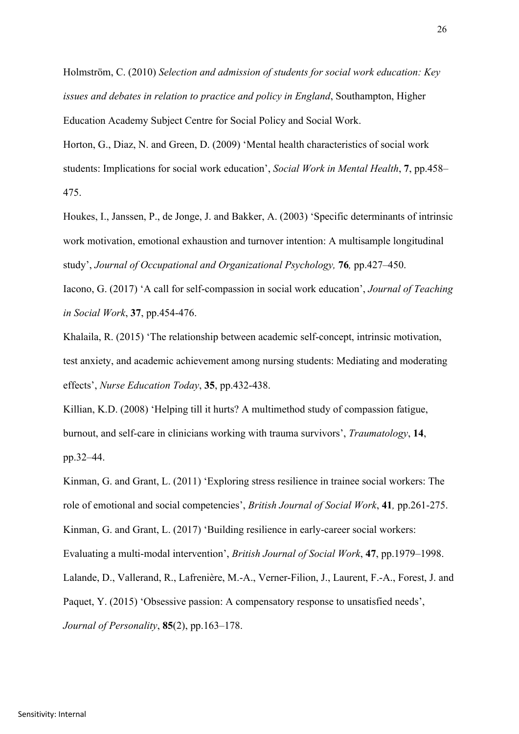Holmström, C. (2010) *Selection and admission of students for social work education: Key issues and debates in relation to practice and policy in England*, Southampton, Higher Education Academy Subject Centre for Social Policy and Social Work.

Horton, G., Diaz, N. and Green, D. (2009) 'Mental health characteristics of social work students: Implications for social work education', *Social Work in Mental Health*, **7**, pp.458–

475.

Houkes, I., Janssen, P., de Jonge, J. and Bakker, A. (2003) 'Specific determinants of intrinsic work motivation, emotional exhaustion and turnover intention: A multisample longitudinal study', *Journal of Occupational and Organizational Psychology,* **76***,* pp.427–450.

Iacono, G. (2017) 'A call for self-compassion in social work education', *Journal of Teaching in Social Work*, **37**, pp.454-476.

Khalaila, R. (2015) 'The relationship between academic self-concept, intrinsic motivation, test anxiety, and academic achievement among nursing students: Mediating and moderating effects', *Nurse Education Today*, **35**, pp.432-438.

Killian, K.D. (2008) 'Helping till it hurts? A multimethod study of compassion fatigue, burnout, and self-care in clinicians working with trauma survivors', *Traumatology*, **14**, pp.32–44.

Kinman, G. and Grant, L. (2011) 'Exploring stress resilience in trainee social workers: The role of emotional and social competencies', *British Journal of Social Work*, **41***,* pp.261-275. Kinman, G. and Grant, L. (2017) 'Building resilience in early-career social workers: Evaluating a multi-modal intervention', *British Journal of Social Work*, **47**, pp.1979–1998. Lalande, D., Vallerand, R., Lafrenière, M.-A., Verner-Filion, J., Laurent, F.-A., Forest, J. and Paquet, Y. (2015) 'Obsessive passion: A compensatory response to unsatisfied needs', *Journal of Personality*, **85**(2), pp.163–178.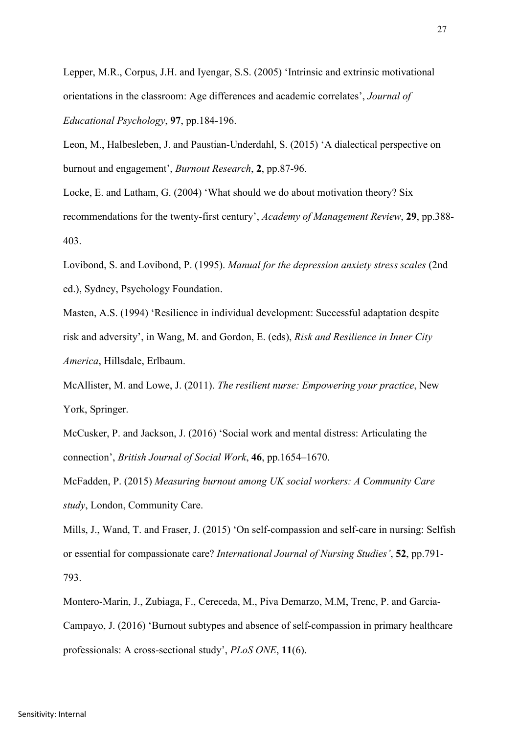Lepper, M.R., Corpus, J.H. and Iyengar, S.S. (2005) 'Intrinsic and extrinsic motivational orientations in the classroom: Age differences and academic correlates', *Journal of Educational Psychology*, **97**, pp.184-196.

Leon, M., Halbesleben, J. and Paustian-Underdahl, S. (2015) 'A dialectical perspective on burnout and engagement', *Burnout Research*, **2**, pp.87-96.

Locke, E. and Latham, G. (2004) 'What should we do about motivation theory? Six recommendations for the twenty-first century', *Academy of Management Review*, **29**, pp.388- 403.

Lovibond, S. and Lovibond, P. (1995). *Manual for the depression anxiety stress scales* (2nd ed.), Sydney, Psychology Foundation.

Masten, A.S. (1994) 'Resilience in individual development: Successful adaptation despite risk and adversity', in Wang, M. and Gordon, E. (eds), *Risk and Resilience in Inner City America*, Hillsdale, Erlbaum.

McAllister, M. and Lowe, J. (2011). *The resilient nurse: Empowering your practice*, New York, Springer.

McCusker, P. and Jackson, J. (2016) 'Social work and mental distress: Articulating the connection', *British Journal of Social Work*, **46**, pp.1654–1670.

McFadden, P. (2015) *Measuring burnout among UK social workers: A Community Care study*, London, Community Care.

Mills, J., Wand, T. and Fraser, J. (2015) 'On self-compassion and self-care in nursing: Selfish or essential for compassionate care? *International Journal of Nursing Studies'*, **52**, pp.791- 793.

Montero-Marin, J., Zubiaga, F., Cereceda, M., Piva Demarzo, M.M, Trenc, P. and Garcia-Campayo, J. (2016) 'Burnout subtypes and absence of self-compassion in primary healthcare professionals: A cross-sectional study', *PLoS ONE*, **11**(6).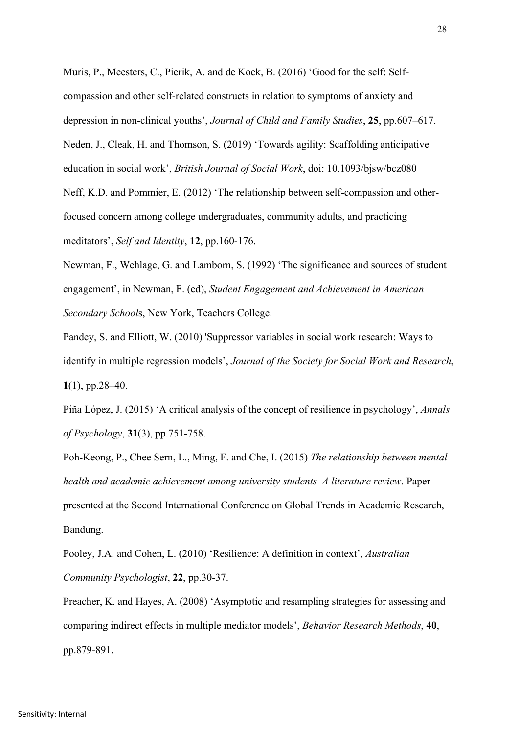Muris, P., Meesters, C., Pierik, A. and de Kock, B. (2016) 'Good for the self: Selfcompassion and other self-related constructs in relation to symptoms of anxiety and depression in non-clinical youths', *Journal of Child and Family Studies*, **25**, pp.607–617. Neden, J., Cleak, H. and Thomson, S. (2019) 'Towards agility: Scaffolding anticipative education in social work', *British Journal of Social Work*, doi: 10.1093/bjsw/bcz080 Neff, K.D. and Pommier, E. (2012) 'The relationship between self-compassion and otherfocused concern among college undergraduates, community adults, and practicing meditators', *Self and Identity*, **12**, pp.160-176.

Newman, F., Wehlage, G. and Lamborn, S. (1992) 'The significance and sources of student engagement', in Newman, F. (ed), *Student Engagement and Achievement in American Secondary School*s, New York, Teachers College.

Pandey, S. and Elliott, W. (2010) 'Suppressor variables in social work research: Ways to identify in multiple regression models', *Journal of the Society for Social Work and Research*, **1**(1), pp.28–40.

Piña López, J. (2015) 'A critical analysis of the concept of resilience in psychology', *Annals of Psychology*, **31**(3), pp.751-758.

Poh-Keong, P., Chee Sern, L., Ming, F. and Che, I. (2015) *The relationship between mental health and academic achievement among university students–A literature review*. Paper presented at the Second International Conference on Global Trends in Academic Research, Bandung.

Pooley, J.A. and Cohen, L. (2010) 'Resilience: A definition in context', *Australian Community Psychologist*, **22**, pp.30-37.

Preacher, K. and Hayes, A. (2008) 'Asymptotic and resampling strategies for assessing and comparing indirect effects in multiple mediator models', *Behavior Research Methods*, **40**, pp.879-891.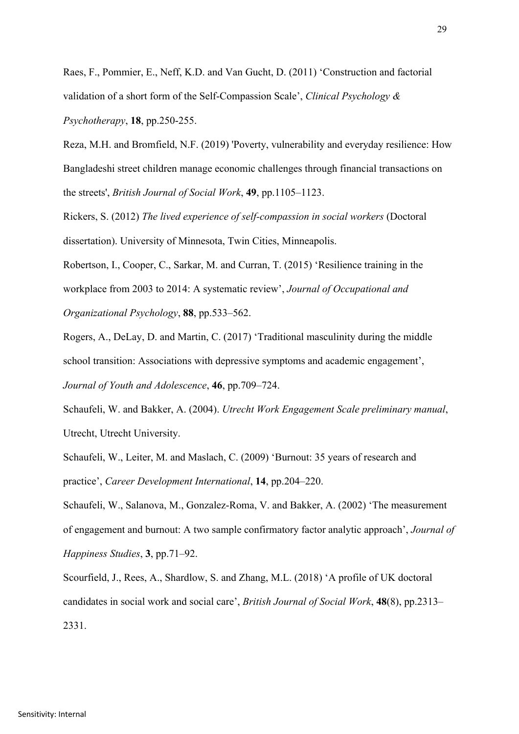Raes, F., Pommier, E., Neff, K.D. and Van Gucht, D. (2011) 'Construction and factorial validation of a short form of the Self-Compassion Scale', *Clinical Psychology & Psychotherapy*, **18**, pp.250-255.

Reza, M.H. and Bromfield, N.F. (2019) 'Poverty, vulnerability and everyday resilience: How Bangladeshi street children manage economic challenges through financial transactions on the streets', *British Journal of Social Work*, **49**, pp.1105–1123.

Rickers, S. (2012) *The lived experience of self-compassion in social workers* (Doctoral dissertation). University of Minnesota, Twin Cities, Minneapolis.

Robertson, I., Cooper, C., Sarkar, M. and Curran, T. (2015) 'Resilience training in the workplace from 2003 to 2014: A systematic review', *Journal of Occupational and Organizational Psychology*, **88**, pp.533–562.

Rogers, A., DeLay, D. and Martin, C. (2017) 'Traditional masculinity during the middle school transition: Associations with depressive symptoms and academic engagement', *Journal of Youth and Adolescence*, **46**, pp.709–724.

Schaufeli, W. and Bakker, A. (2004). *Utrecht Work Engagement Scale preliminary manual*, Utrecht, Utrecht University.

Schaufeli, W., Leiter, M. and Maslach, C. (2009) 'Burnout: 35 years of research and practice', *Career Development International*, **14**, pp.204–220.

Schaufeli, W., Salanova, M., Gonzalez-Roma, V. and Bakker, A. (2002) 'The measurement of engagement and burnout: A two sample confirmatory factor analytic approach', *Journal of Happiness Studies*, **3**, pp.71–92.

Scourfield, J., Rees, A., Shardlow, S. and Zhang, M.L. (2018) 'A profile of UK doctoral candidates in social work and social care', *British Journal of Social Work*, **48**(8), pp.2313– 2331.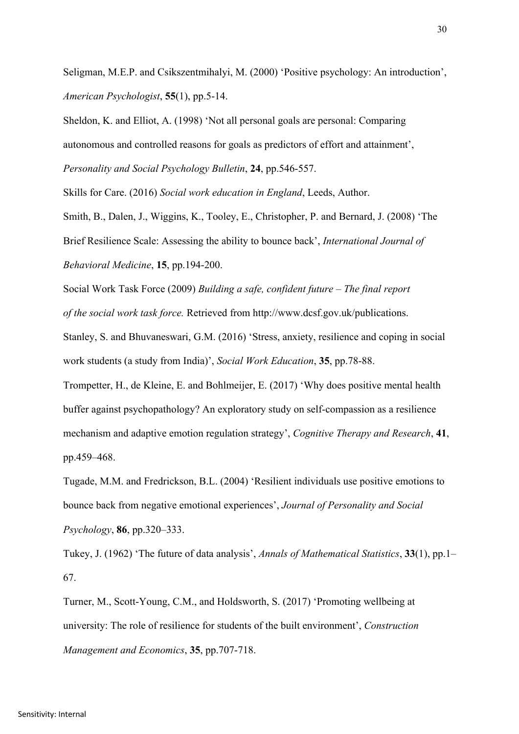Seligman, M.E.P. and Csikszentmihalyi, M. (2000) 'Positive psychology: An introduction', *American Psychologist*, **55**(1), pp.5-14.

Sheldon, K. and Elliot, A. (1998) 'Not all personal goals are personal: Comparing autonomous and controlled reasons for goals as predictors of effort and attainment', *Personality and Social Psychology Bulletin*, **24**, pp.546-557.

Skills for Care. (2016) *Social work education in England*, Leeds, Author.

Smith, B., Dalen, J., Wiggins, K., Tooley, E., Christopher, P. and Bernard, J. (2008) 'The Brief Resilience Scale: Assessing the ability to bounce back', *International Journal of Behavioral Medicine*, **15**, pp.194-200.

Social Work Task Force (2009) *Building a safe, confident future – The final report of the social work task force.* Retrieved from http://www.dcsf.gov.uk/publications.

Stanley, S. and Bhuvaneswari, G.M. (2016) 'Stress, anxiety, resilience and coping in social work students (a study from India)', *Social Work Education*, **35**, pp.78-88.

Trompetter, H., de Kleine, E. and Bohlmeijer, E. (2017) 'Why does positive mental health buffer against psychopathology? An exploratory study on self-compassion as a resilience mechanism and adaptive emotion regulation strategy', *Cognitive Therapy and Research*, **41**, pp.459–468.

Tugade, M.M. and Fredrickson, B.L. (2004) 'Resilient individuals use positive emotions to bounce back from negative emotional experiences', *Journal of Personality and Social Psychology*, **86**, pp.320–333.

Tukey, J. (1962) 'The future of data analysis', *Annals of Mathematical Statistics*, **33**(1), pp.1– 67.

Turner, M., Scott-Young, C.M., and Holdsworth, S. (2017) 'Promoting wellbeing at university: The role of resilience for students of the built environment', *Construction Management and Economics*, **35**, pp.707-718.